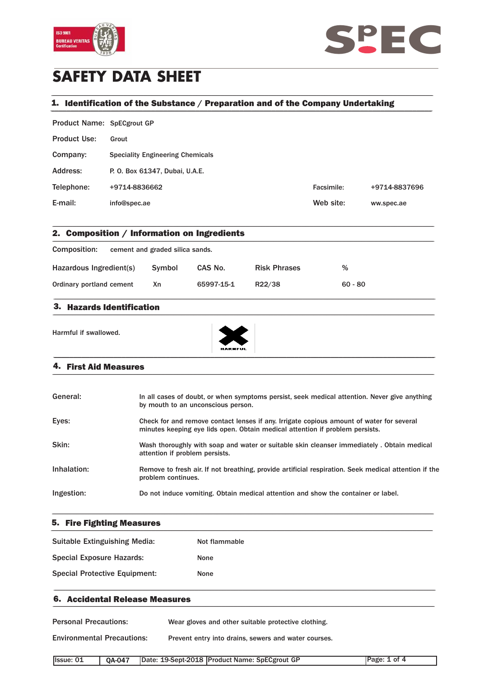



# **SAFETY DATA SHEET**

# 1. Identification of the Substance / Preparation and of the Company Undertaking

| Product Name: SpECgrout GP |                                         |            |               |
|----------------------------|-----------------------------------------|------------|---------------|
| <b>Product Use:</b>        | Grout                                   |            |               |
| Company:                   | <b>Speciality Engineering Chemicals</b> |            |               |
| Address:                   | P. O. Box 61347, Dubai, U.A.E.          |            |               |
| Telephone:                 | +9714-8836662                           | Facsimile: | +9714-8837696 |
| E-mail:                    | info@spec.ae                            | Web site:  | ww.spec.ae    |

\_\_\_\_\_\_\_\_\_\_\_\_\_\_\_\_\_\_\_\_\_\_\_\_\_\_\_\_\_\_\_\_\_\_\_\_\_\_\_\_\_\_\_\_\_\_\_\_\_\_\_\_\_\_\_\_\_\_\_\_\_\_\_\_\_\_\_\_\_\_\_\_\_\_\_\_\_\_\_\_\_\_\_\_\_\_\_\_\_\_\_\_\_\_\_

| 2. Composition / Information on Ingredients                              |    |            |        |           |  |  |
|--------------------------------------------------------------------------|----|------------|--------|-----------|--|--|
| Composition:<br>cement and graded silica sands.                          |    |            |        |           |  |  |
| Hazardous Ingredient(s)<br>%<br>Symbol<br><b>Risk Phrases</b><br>CAS No. |    |            |        |           |  |  |
| Ordinary portland cement                                                 | Xn | 65997-15-1 | R22/38 | $60 - 80$ |  |  |

\_\_\_\_\_\_\_\_\_\_\_\_\_\_\_\_\_\_\_\_\_\_\_\_\_\_\_\_\_\_\_\_\_\_\_\_\_\_\_\_\_\_\_\_\_\_\_\_\_\_\_\_\_\_\_\_\_\_\_\_\_\_\_\_\_\_\_\_\_\_\_\_\_\_\_\_\_\_\_\_\_\_\_\_\_\_\_\_\_\_\_\_\_\_\_

#### 3. Hazards Identification  $\blacksquare$   $\blacksquare$   $\blacksquare$   $\blacksquare$   $\blacksquare$   $\blacksquare$   $\blacksquare$   $\blacksquare$   $\blacksquare$   $\blacksquare$   $\blacksquare$   $\blacksquare$   $\blacksquare$   $\blacksquare$   $\blacksquare$   $\blacksquare$   $\blacksquare$   $\blacksquare$   $\blacksquare$   $\blacksquare$   $\blacksquare$   $\blacksquare$   $\blacksquare$   $\blacksquare$   $\blacksquare$   $\blacksquare$   $\blacksquare$   $\blacksquare$   $\blacksquare$   $\blacksquare$   $\blacksquare$   $\blacks$

Harmful if swallowed.



#### 4. First Aid Measures \_\_\_\_\_\_\_\_\_\_\_\_\_\_\_\_\_\_\_\_\_\_\_\_\_\_\_\_\_\_\_\_\_\_\_\_\_\_\_\_\_\_\_\_\_\_\_\_\_\_\_\_\_\_\_\_\_\_\_\_\_\_\_\_\_\_\_\_\_\_\_\_\_\_\_\_\_\_\_\_\_\_\_\_\_\_\_\_\_\_\_\_\_\_\_

| General:    | In all cases of doubt, or when symptoms persist, seek medical attention. Never give anything<br>by mouth to an unconscious person.                                       |
|-------------|--------------------------------------------------------------------------------------------------------------------------------------------------------------------------|
| Eyes:       | Check for and remove contact lenses if any. Irrigate copious amount of water for several<br>minutes keeping eye lids open. Obtain medical attention if problem persists. |
| Skin:       | Wash thoroughly with soap and water or suitable skin cleanser immediately. Obtain medical<br>attention if problem persists.                                              |
| Inhalation: | Remove to fresh air. If not breathing, provide artificial respiration. Seek medical attention if the<br>problem continues.                                               |
| Ingestion:  | Do not induce vomiting. Obtain medical attention and show the container or label.                                                                                        |

\_\_\_\_\_\_\_\_\_\_\_\_\_\_\_\_\_\_\_\_\_\_\_\_\_\_\_\_\_\_\_\_\_\_\_\_\_\_\_\_\_\_\_\_\_\_\_\_\_\_\_\_\_\_\_\_\_\_\_\_\_\_\_\_\_\_\_\_\_\_\_\_\_\_\_\_\_\_\_\_\_\_\_\_\_\_\_\_\_\_\_\_\_\_\_

## 5. Fire Fighting Measures \_\_\_\_\_\_\_\_\_\_\_\_\_\_\_\_\_\_\_\_\_\_\_\_\_\_\_\_\_\_\_\_\_\_\_\_\_\_\_\_\_\_\_\_\_\_\_\_\_\_\_\_\_\_\_\_\_\_\_\_\_\_\_\_\_\_\_\_\_\_\_\_\_\_\_\_\_\_\_\_\_\_\_\_\_\_\_\_\_\_\_\_\_\_\_

| Suitable Extinguishing Media:        | Not flammable |
|--------------------------------------|---------------|
| <b>Special Exposure Hazards:</b>     | <b>None</b>   |
| <b>Special Protective Equipment:</b> | <b>None</b>   |

\_\_\_\_\_\_\_\_\_\_\_\_\_\_\_\_\_\_\_\_\_\_\_\_\_\_\_\_\_\_\_\_\_\_\_\_\_\_\_\_\_\_\_\_\_\_\_\_\_\_\_\_\_\_\_\_\_\_\_\_\_\_\_\_\_\_\_\_\_\_\_\_\_\_\_\_\_\_\_\_\_\_\_\_\_\_\_\_\_\_\_\_\_\_\_

### 6. Accidental Release Measures

Personal Precautions: Wear gloves and other suitable protective clothing.

Environmental Precautions: Prevent entry into drains, sewers and water courses.

| <b>Issue: 01</b> |  | QA-047   Date: 19-Sept-2018   Product Name: SpECgrout GP | Page: 1 of 4 |
|------------------|--|----------------------------------------------------------|--------------|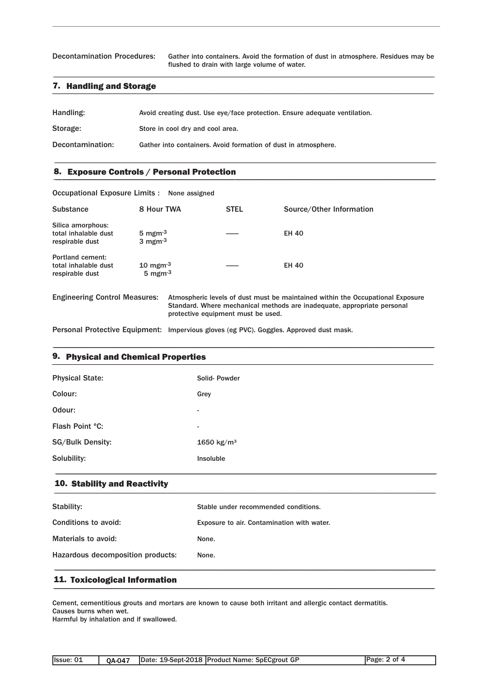Decontamination Procedures: Gather into containers. Avoid the formation of dust in atmosphere. Residues may be flushed to drain with large volume of water.

### **7.** Handling and Storage **and Storage and Storage and Storage and Storage and Storage and Storage and Storage and Storage and Storage and Storage and Storage and Storage and Storage and Storage and Storage and Storage and**

| Handling:        | Avoid creating dust. Use eye/face protection. Ensure adequate ventilation. |
|------------------|----------------------------------------------------------------------------|
| Storage:         | Store in cool dry and cool area.                                           |
| Decontamination: | Gather into containers. Avoid formation of dust in atmosphere.             |

\_\_\_\_\_\_\_\_\_\_\_\_\_\_\_\_\_\_\_\_\_\_\_\_\_\_\_\_\_\_\_\_\_\_\_\_\_\_\_\_\_\_\_\_\_\_\_\_\_\_\_\_\_\_\_\_\_\_\_\_\_\_\_\_\_\_\_\_\_\_\_\_\_\_\_\_\_\_\_\_\_\_\_\_\_\_\_\_\_\_\_\_\_\_\_

\_\_\_\_\_\_\_\_\_\_\_\_\_\_\_\_\_\_\_\_\_\_\_\_\_\_\_\_\_\_\_\_\_\_\_\_\_\_\_\_\_\_\_\_\_\_\_\_\_\_\_\_\_\_\_\_\_\_\_\_\_\_\_\_\_\_\_\_\_\_\_\_\_\_\_\_\_\_\_\_\_\_\_\_\_\_\_\_\_\_\_\_\_\_\_

## 8. Exposure Controls / Personal Protection \_\_\_\_\_\_\_\_\_\_\_\_\_\_\_\_\_\_\_\_\_\_\_\_\_\_\_\_\_\_\_\_\_\_\_\_\_\_\_\_\_\_\_\_\_\_\_\_\_\_\_\_\_\_\_\_\_\_\_\_\_\_\_\_\_\_\_\_\_\_\_\_\_\_\_\_\_\_\_\_\_\_\_\_\_\_\_\_\_\_\_\_\_\_\_

Occupational Exposure Limits : None assigned Substance 8 Hour TWA STEL Source/Other Information Silica amorphous: total inhalable dust  $5 \text{ mgm}^3$  ----- EH 40<br>respirable dust  $3 \text{ mgm}^3$ respirable dust Portland cement: total inhalable dust  $10 \text{ mgm}^3$  ---- EH 40 respirable dust  $5 \text{ mgm}^{-3}$ Engineering Control Measures: Atmospheric levels of dust must be maintained within the Occupational Exposure Standard. Where mechanical methods are inadequate, appropriate personal protective equipment must be used.

Personal Protective Equipment: Impervious gloves (eg PVC). Goggles. Approved dust mask.

### 9. Physical and Chemical Properties \_\_\_\_\_\_\_\_\_\_\_\_\_\_\_\_\_\_\_\_\_\_\_\_\_\_\_\_\_\_\_\_\_\_\_\_\_\_\_\_\_\_\_\_\_\_\_\_\_\_\_\_\_\_\_\_\_\_\_\_\_\_\_\_\_\_\_\_\_\_\_\_\_\_\_\_\_\_\_\_\_\_\_\_\_\_\_\_\_\_\_\_\_\_\_

| <b>Physical State:</b>  | Solid-Powder             |
|-------------------------|--------------------------|
| Colour:                 | Grey                     |
| Odour:                  | ۰.                       |
| Flash Point °C:         | $\overline{\phantom{a}}$ |
| <b>SG/Bulk Density:</b> | 1650 kg/m <sup>3</sup>   |
| Solubility:             | Insoluble                |
|                         |                          |

\_\_\_\_\_\_\_\_\_\_\_\_\_\_\_\_\_\_\_\_\_\_\_\_\_\_\_\_\_\_\_\_\_\_\_\_\_\_\_\_\_\_\_\_\_\_\_\_\_\_\_\_\_\_\_\_\_\_\_\_\_\_\_\_\_\_\_\_\_\_\_\_\_\_\_\_\_\_\_\_\_\_\_\_\_\_\_\_\_\_\_\_\_\_\_

#### 10. Stability and Reactivity \_\_\_\_\_\_\_\_\_\_\_\_\_\_\_\_\_\_\_\_\_\_\_\_\_\_\_\_\_\_\_\_\_\_\_\_\_\_\_\_\_\_\_\_\_\_\_\_\_\_\_\_\_\_\_\_\_\_\_\_\_\_\_\_\_\_\_\_\_\_\_\_\_\_\_\_\_\_\_\_\_\_\_\_\_\_\_\_\_\_\_\_\_\_\_

| Stability:                        | Stable under recommended conditions.       |
|-----------------------------------|--------------------------------------------|
| Conditions to avoid:              | Exposure to air. Contamination with water. |
| Materials to avoid:               | None.                                      |
| Hazardous decomposition products: | None.                                      |
|                                   |                                            |

# 11. Toxicological Information \_\_\_\_\_\_\_\_\_\_\_\_\_\_\_\_\_\_\_\_\_\_\_\_\_\_\_\_\_\_\_\_\_\_\_\_\_\_\_\_\_\_\_\_\_\_\_\_\_\_\_\_\_\_\_\_\_\_\_\_\_\_\_\_\_\_\_\_\_\_\_\_\_\_\_\_\_\_\_\_\_\_\_\_\_\_\_\_\_\_\_\_\_\_\_

Cement, cementitious grouts and mortars are known to cause both irritant and allergic contact dermatitis. Causes burns when wet.

Harmful by inhalation and if swallowed.

| <b>Issue: 01</b> |  |  | 0A-047   Date: 19-Sept-2018   Product Name: SpECgrout GP | Page: 2 of 4 |
|------------------|--|--|----------------------------------------------------------|--------------|
|------------------|--|--|----------------------------------------------------------|--------------|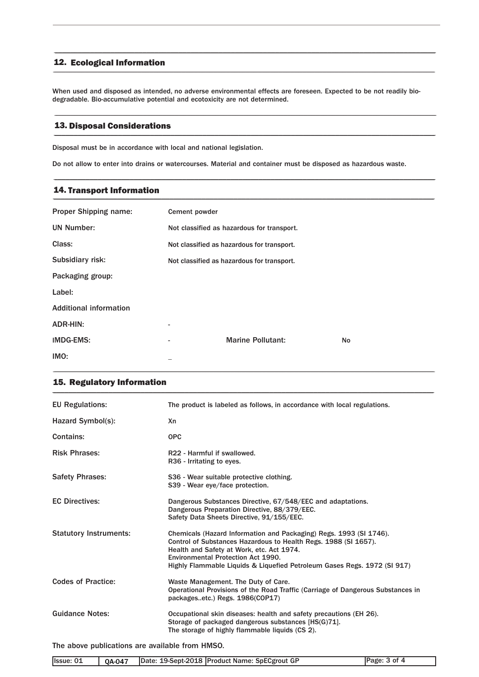#### 12. Ecological Information \_\_\_\_\_\_\_\_\_\_\_\_\_\_\_\_\_\_\_\_\_\_\_\_\_\_\_\_\_\_\_\_\_\_\_\_\_\_\_\_\_\_\_\_\_\_\_\_\_\_\_\_\_\_\_\_\_\_\_\_\_\_\_\_\_\_\_\_\_\_\_\_\_\_\_\_\_\_\_\_\_\_\_\_\_\_\_\_\_\_\_\_\_\_\_

When used and disposed as intended, no adverse environmental effects are foreseen. Expected to be not readily biodegradable. Bio-accumulative potential and ecotoxicity are not determined.

\_\_\_\_\_\_\_\_\_\_\_\_\_\_\_\_\_\_\_\_\_\_\_\_\_\_\_\_\_\_\_\_\_\_\_\_\_\_\_\_\_\_\_\_\_\_\_\_\_\_\_\_\_\_\_\_\_\_\_\_\_\_\_\_\_\_\_\_\_\_\_\_\_\_\_\_\_\_\_\_\_\_\_\_\_\_\_\_\_\_\_\_\_\_\_

\_\_\_\_\_\_\_\_\_\_\_\_\_\_\_\_\_\_\_\_\_\_\_\_\_\_\_\_\_\_\_\_\_\_\_\_\_\_\_\_\_\_\_\_\_\_\_\_\_\_\_\_\_\_\_\_\_\_\_\_\_\_\_\_\_\_\_\_\_\_\_\_\_\_\_\_\_\_\_\_\_\_\_\_\_\_\_\_\_\_\_\_\_\_\_

\_\_\_\_\_\_\_\_\_\_\_\_\_\_\_\_\_\_\_\_\_\_\_\_\_\_\_\_\_\_\_\_\_\_\_\_\_\_\_\_\_\_\_\_\_\_\_\_\_\_\_\_\_\_\_\_\_\_\_\_\_\_\_\_\_\_\_\_\_\_\_\_\_\_\_\_\_\_\_\_\_\_\_\_\_\_\_\_\_\_\_\_\_\_\_

#### 13. Disposal Considerations \_\_\_\_\_\_\_\_\_\_\_\_\_\_\_\_\_\_\_\_\_\_\_\_\_\_\_\_\_\_\_\_\_\_\_\_\_\_\_\_\_\_\_\_\_\_\_\_\_\_\_\_\_\_\_\_\_\_\_\_\_\_\_\_\_\_\_\_\_\_\_\_\_\_\_\_\_\_\_\_\_\_\_\_\_\_\_\_\_\_\_\_\_\_\_

Disposal must be in accordance with local and national legislation.

Do not allow to enter into drains or watercourses. Material and container must be disposed as hazardous waste.

#### 14. Transport Information \_\_\_\_\_\_\_\_\_\_\_\_\_\_\_\_\_\_\_\_\_\_\_\_\_\_\_\_\_\_\_\_\_\_\_\_\_\_\_\_\_\_\_\_\_\_\_\_\_\_\_\_\_\_\_\_\_\_\_\_\_\_\_\_\_\_\_\_\_\_\_\_\_\_\_\_\_\_\_\_\_\_\_\_\_\_\_\_\_\_\_\_\_\_\_

| Proper Shipping name:         | Cement powder |                                            |    |
|-------------------------------|---------------|--------------------------------------------|----|
| <b>UN Number:</b>             |               | Not classified as hazardous for transport. |    |
| Class:                        |               | Not classified as hazardous for transport. |    |
| Subsidiary risk:              |               | Not classified as hazardous for transport. |    |
| Packaging group:              |               |                                            |    |
| Label:                        |               |                                            |    |
| <b>Additional information</b> |               |                                            |    |
| <b>ADR-HIN:</b>               |               |                                            |    |
| <b>IMDG-EMS:</b>              |               | <b>Marine Pollutant:</b>                   | No |
| IMO:                          |               |                                            |    |

| <b>EU Regulations:</b>        | The product is labeled as follows, in accordance with local regulations.                                                                                                                                                                                                                             |
|-------------------------------|------------------------------------------------------------------------------------------------------------------------------------------------------------------------------------------------------------------------------------------------------------------------------------------------------|
| Hazard Symbol(s):             | Xn                                                                                                                                                                                                                                                                                                   |
| Contains:                     | <b>OPC</b>                                                                                                                                                                                                                                                                                           |
| <b>Risk Phrases:</b>          | R22 - Harmful if swallowed.<br>R <sub>36</sub> - Irritating to eyes.                                                                                                                                                                                                                                 |
| <b>Safety Phrases:</b>        | S36 - Wear suitable protective clothing.<br>S39 - Wear eye/face protection.                                                                                                                                                                                                                          |
| <b>EC Directives:</b>         | Dangerous Substances Directive, 67/548/EEC and adaptations.<br>Dangerous Preparation Directive, 88/379/EEC.<br>Safety Data Sheets Directive, 91/155/EEC.                                                                                                                                             |
| <b>Statutory Instruments:</b> | Chemicals (Hazard Information and Packaging) Regs. 1993 (SI 1746).<br>Control of Substances Hazardous to Health Regs. 1988 (SI 1657).<br>Health and Safety at Work, etc. Act 1974.<br>Environmental Protection Act 1990.<br>Highly Flammable Liquids & Liquefied Petroleum Gases Regs. 1972 (SI 917) |
| <b>Codes of Practice:</b>     | Waste Management. The Duty of Care.<br>Operational Provisions of the Road Traffic (Carriage of Dangerous Substances in<br>packagesetc.) Regs. 1986(COP17)                                                                                                                                            |
| <b>Guidance Notes:</b>        | Occupational skin diseases: health and safety precautions (EH 26).<br>Storage of packaged dangerous substances [HS(G)71].<br>The storage of highly flammable liquids (CS 2).                                                                                                                         |

### The above publications are available from HMSO.

| Issue:<br>01 | <b>0A-047</b> | Date: 19-Sept-2018 Product Name: SpECgrout GP | ∵of ⊷<br>Page: |
|--------------|---------------|-----------------------------------------------|----------------|
|              |               |                                               |                |

### 15. Regulatory Information